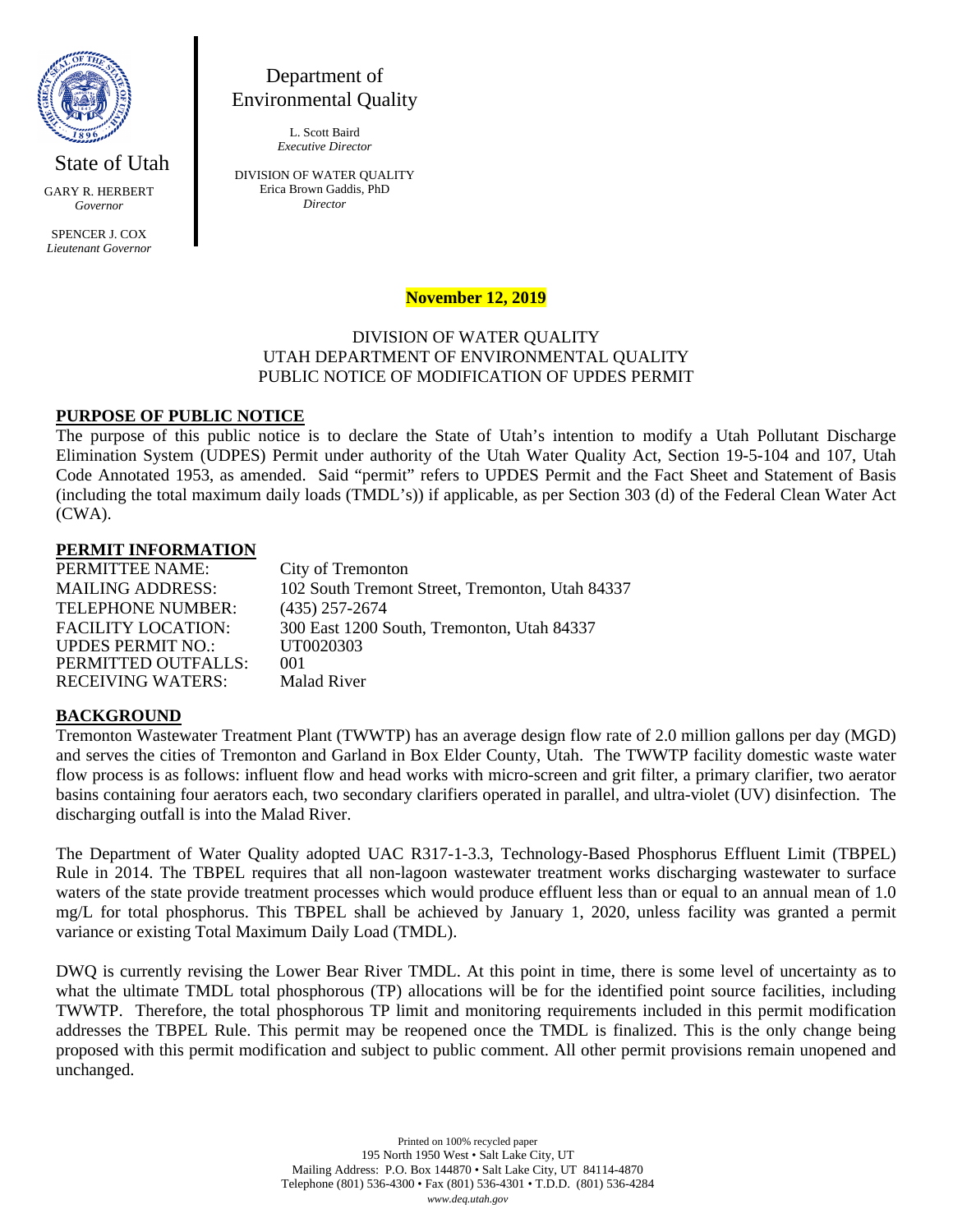

State of Utah GARY R. HERBERT *Governor*

SPENCER J. COX *Lieutenant Governor*

# Department of Environmental Quality

L. Scott Baird *Executive Director*

DIVISION OF WATER QUALITY Erica Brown Gaddis, PhD *Director*

## **November 12, 2019**

## DIVISION OF WATER QUALITY UTAH DEPARTMENT OF ENVIRONMENTAL QUALITY PUBLIC NOTICE OF MODIFICATION OF UPDES PERMIT

#### **PURPOSE OF PUBLIC NOTICE**

The purpose of this public notice is to declare the State of Utah's intention to modify a Utah Pollutant Discharge Elimination System (UDPES) Permit under authority of the Utah Water Quality Act, Section 19-5-104 and 107, Utah Code Annotated 1953, as amended. Said "permit" refers to UPDES Permit and the Fact Sheet and Statement of Basis (including the total maximum daily loads (TMDL's)) if applicable, as per Section 303 (d) of the Federal Clean Water Act (CWA).

#### **PERMIT INFORMATION**

| City of Tremonton                               |
|-------------------------------------------------|
| 102 South Tremont Street, Tremonton, Utah 84337 |
| $(435)$ 257-2674                                |
| 300 East 1200 South, Tremonton, Utah 84337      |
| UT0020303                                       |
| 001                                             |
| <b>Malad River</b>                              |
|                                                 |

#### **BACKGROUND**

Tremonton Wastewater Treatment Plant (TWWTP) has an average design flow rate of 2.0 million gallons per day (MGD) and serves the cities of Tremonton and Garland in Box Elder County, Utah. The TWWTP facility domestic waste water flow process is as follows: influent flow and head works with micro-screen and grit filter, a primary clarifier, two aerator basins containing four aerators each, two secondary clarifiers operated in parallel, and ultra-violet (UV) disinfection. The discharging outfall is into the Malad River.

The Department of Water Quality adopted UAC R317-1-3.3, Technology-Based Phosphorus Effluent Limit (TBPEL) Rule in 2014. The TBPEL requires that all non-lagoon wastewater treatment works discharging wastewater to surface waters of the state provide treatment processes which would produce effluent less than or equal to an annual mean of 1.0 mg/L for total phosphorus. This TBPEL shall be achieved by January 1, 2020, unless facility was granted a permit variance or existing Total Maximum Daily Load (TMDL).

DWQ is currently revising the Lower Bear River TMDL. At this point in time, there is some level of uncertainty as to what the ultimate TMDL total phosphorous (TP) allocations will be for the identified point source facilities, including TWWTP. Therefore, the total phosphorous TP limit and monitoring requirements included in this permit modification addresses the TBPEL Rule. This permit may be reopened once the TMDL is finalized. This is the only change being proposed with this permit modification and subject to public comment. All other permit provisions remain unopened and unchanged.